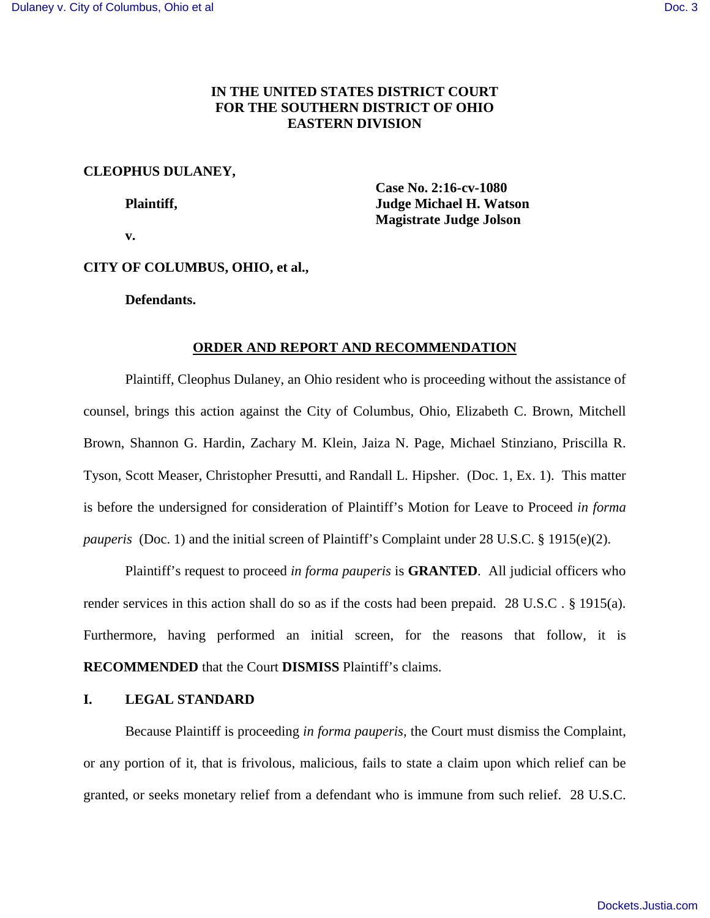# **IN THE UNITED STATES DISTRICT COURT FOR THE SOUTHERN DISTRICT OF OHIO EASTERN DIVISION**

## **CLEOPHUS DULANEY,**

 **Case No. 2:16-cv-1080 Plaintiff, Superior Plaintiff, Superior Accept 1. Watson Judge Michael H. Watson Magistrate Judge Jolson** 

 **v.** 

## **CITY OF COLUMBUS, OHIO, et al.,**

**Defendants.** 

## **ORDER AND REPORT AND RECOMMENDATION**

Plaintiff, Cleophus Dulaney, an Ohio resident who is proceeding without the assistance of counsel, brings this action against the City of Columbus, Ohio, Elizabeth C. Brown, Mitchell Brown, Shannon G. Hardin, Zachary M. Klein, Jaiza N. Page, Michael Stinziano, Priscilla R. Tyson, Scott Measer, Christopher Presutti, and Randall L. Hipsher. (Doc. 1, Ex. 1). This matter is before the undersigned for consideration of Plaintiff's Motion for Leave to Proceed *in forma pauperis* (Doc. 1) and the initial screen of Plaintiff's Complaint under 28 U.S.C. § 1915(e)(2).

Plaintiff's request to proceed *in forma pauperis* is **GRANTED**. All judicial officers who render services in this action shall do so as if the costs had been prepaid. 28 U.S.C . § 1915(a). Furthermore, having performed an initial screen, for the reasons that follow, it is **RECOMMENDED** that the Court **DISMISS** Plaintiff's claims.

## **I. LEGAL STANDARD**

Because Plaintiff is proceeding *in forma pauperis*, the Court must dismiss the Complaint, or any portion of it, that is frivolous, malicious, fails to state a claim upon which relief can be granted, or seeks monetary relief from a defendant who is immune from such relief. 28 U.S.C.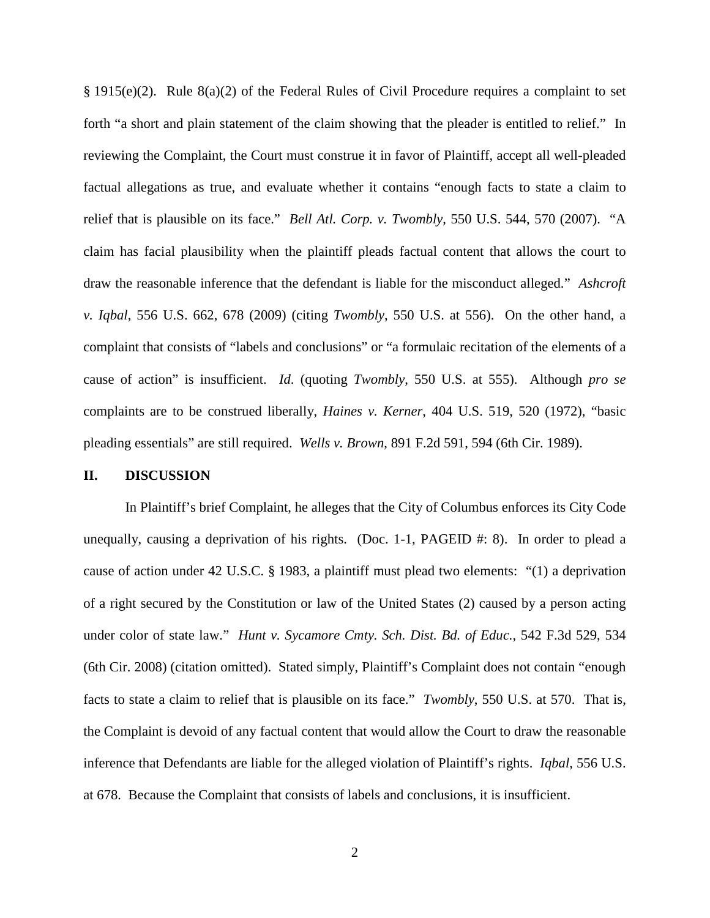$§$  1915(e)(2). Rule  $§$ (a)(2) of the Federal Rules of Civil Procedure requires a complaint to set forth "a short and plain statement of the claim showing that the pleader is entitled to relief." In reviewing the Complaint, the Court must construe it in favor of Plaintiff, accept all well-pleaded factual allegations as true, and evaluate whether it contains "enough facts to state a claim to relief that is plausible on its face." *Bell Atl. Corp. v. Twombly*, 550 U.S. 544, 570 (2007). "A claim has facial plausibility when the plaintiff pleads factual content that allows the court to draw the reasonable inference that the defendant is liable for the misconduct alleged." *Ashcroft v. Iqbal*, 556 U.S. 662, 678 (2009) (citing *Twombly*, 550 U.S. at 556). On the other hand, a complaint that consists of "labels and conclusions" or "a formulaic recitation of the elements of a cause of action" is insufficient. *Id*. (quoting *Twombly*, 550 U.S. at 555). Although *pro se* complaints are to be construed liberally, *Haines v. Kerner*, 404 U.S. 519, 520 (1972), "basic pleading essentials" are still required. *Wells v. Brown*, 891 F.2d 591, 594 (6th Cir. 1989).

#### **II. DISCUSSION**

In Plaintiff's brief Complaint, he alleges that the City of Columbus enforces its City Code unequally, causing a deprivation of his rights. (Doc. 1-1, PAGEID #: 8). In order to plead a cause of action under 42 U.S.C. § 1983, a plaintiff must plead two elements: "(1) a deprivation of a right secured by the Constitution or law of the United States (2) caused by a person acting under color of state law." *Hunt v. Sycamore Cmty. Sch. Dist. Bd. of Educ.*, 542 F.3d 529, 534 (6th Cir. 2008) (citation omitted). Stated simply, Plaintiff's Complaint does not contain "enough facts to state a claim to relief that is plausible on its face." *Twombly*, 550 U.S. at 570. That is, the Complaint is devoid of any factual content that would allow the Court to draw the reasonable inference that Defendants are liable for the alleged violation of Plaintiff's rights. *Iqbal*, 556 U.S. at 678. Because the Complaint that consists of labels and conclusions, it is insufficient.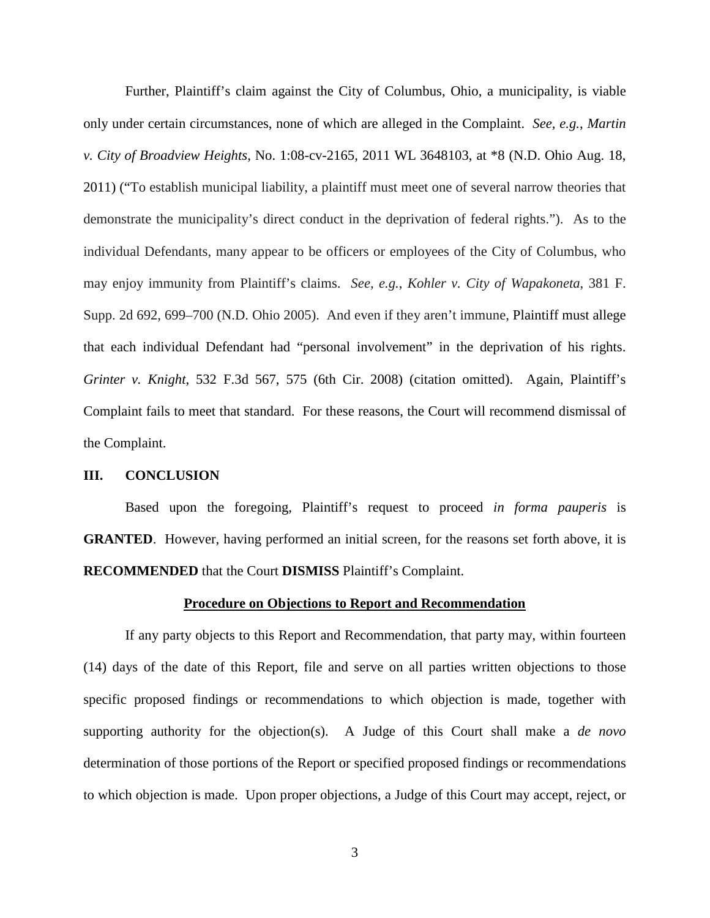Further, Plaintiff's claim against the City of Columbus, Ohio, a municipality, is viable only under certain circumstances, none of which are alleged in the Complaint. *See, e.g.*, *Martin v. City of Broadview Heights*, No. 1:08-cv-2165, 2011 WL 3648103, at \*8 (N.D. Ohio Aug. 18, 2011) ("To establish municipal liability, a plaintiff must meet one of several narrow theories that demonstrate the municipality's direct conduct in the deprivation of federal rights."). As to the individual Defendants, many appear to be officers or employees of the City of Columbus, who may enjoy immunity from Plaintiff's claims. *See, e.g.*, *Kohler v. City of Wapakoneta*, 381 F. Supp. 2d 692, 699–700 (N.D. Ohio 2005). And even if they aren't immune, Plaintiff must allege that each individual Defendant had "personal involvement" in the deprivation of his rights. *Grinter v. Knight*, 532 F.3d 567, 575 (6th Cir. 2008) (citation omitted). Again, Plaintiff's Complaint fails to meet that standard. For these reasons, the Court will recommend dismissal of the Complaint.

#### **III. CONCLUSION**

Based upon the foregoing, Plaintiff's request to proceed *in forma pauperis* is **GRANTED.** However, having performed an initial screen, for the reasons set forth above, it is **RECOMMENDED** that the Court **DISMISS** Plaintiff's Complaint.

#### **Procedure on Objections to Report and Recommendation**

If any party objects to this Report and Recommendation, that party may, within fourteen (14) days of the date of this Report, file and serve on all parties written objections to those specific proposed findings or recommendations to which objection is made, together with supporting authority for the objection(s). A Judge of this Court shall make a *de novo* determination of those portions of the Report or specified proposed findings or recommendations to which objection is made. Upon proper objections, a Judge of this Court may accept, reject, or